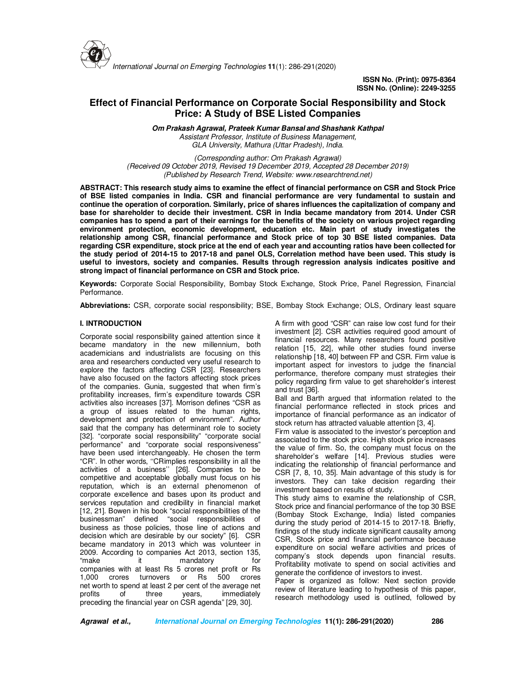

**ISSN No. (Print): 0975-8364 ISSN No. (Online): 2249-3255** 

# **Effect of Financial Performance on Corporate Social Responsibility and Stock Price: A Study of BSE Listed Companies**

**Om Prakash Agrawal, Prateek Kumar Bansal and Shashank Kathpal**  *Assistant Professor, Institute of Business Management, GLA University, Mathura (Uttar Pradesh), India.*

*(Corresponding author: Om Prakash Agrawal) (Received 09 October 2019, Revised 19 December 2019, Accepted 28 December 2019) (Published by Research Trend, Website: www.researchtrend.net)*

**ABSTRACT: This research study aims to examine the effect of financial performance on CSR and Stock Price of BSE listed companies in India. CSR and financial performance are very fundamental to sustain and continue the operation of corporation. Similarly, price of shares influences the capitalization of company and base for shareholder to decide their investment. CSR in India became mandatory from 2014. Under CSR companies has to spend a part of their earnings for the benefits of the society on various project regarding environment protection, economic development, education etc. Main part of study investigates the relationship among CSR, financial performance and Stock price of top 30 BSE listed companies. Data regarding CSR expenditure, stock price at the end of each year and accounting ratios have been collected for the study period of 2014-15 to 2017-18 and panel OLS, Correlation method have been used. This study is useful to investors, society and companies. Results through regression analysis indicates positive and strong impact of financial performance on CSR and Stock price.**

**Keywords:** Corporate Social Responsibility, Bombay Stock Exchange, Stock Price, Panel Regression, Financial Performance.

**Abbreviations:** CSR, corporate social responsibility; BSE, Bombay Stock Exchange; OLS, Ordinary least square

## **I. INTRODUCTION**

Corporate social responsibility gained attention since it became mandatory in the new millennium, both academicians and industrialists are focusing on this area and researchers conducted very useful research to explore the factors affecting CSR [23]. Researchers have also focused on the factors affecting stock prices of the companies. Gunia, suggested that when firm's profitability increases, firm's expenditure towards CSR activities also increases [37]. Morrison defines "CSR as a group of issues related to the human rights, development and protection of environment". Author said that the company has determinant role to society [32]. "corporate social responsibility" "corporate social performance" and "corporate social responsiveness" have been used interchangeably. He chosen the term "CR". In other words, ''CRimplies responsibility in all the activities of a business'' [26]. Companies to be competitive and acceptable globally must focus on his reputation, which is an external phenomenon of corporate excellence and bases upon its product and services reputation and credibility in financial market [12, 21]. Bowen in his book "social responsibilities of the businessman" defined "social responsibilities of business as those policies, those line of actions and decision which are desirable by our society" [6]. CSR became mandatory in 2013 which was volunteer in 2009. According to companies Act 2013, section 135, "make it mandatory for companies with at least Rs 5 crores net profit or Rs 1,000 crores turnovers or Rs 500 crores net worth to spend at least 2 per cent of the average net profits of three years, immediately preceding the financial year on CSR agenda" [29, 30].

A firm with good "CSR" can raise low cost fund for their investment [2]. CSR activities required good amount of financial resources. Many researchers found positive relation [15, 22], while other studies found inverse relationship [18, 40] between FP and CSR. Firm value is important aspect for investors to judge the financial performance, therefore company must strategies their policy regarding firm value to get shareholder's interest and trust [36].

Ball and Barth argued that information related to the financial performance reflected in stock prices and importance of financial performance as an indicator of stock return has attracted valuable attention [3, 4].

Firm value is associated to the investor's perception and associated to the stock price. High stock price increases the value of firm. So, the company must focus on the shareholder's welfare [14]. Previous studies were indicating the relationship of financial performance and CSR [7, 8, 10, 35]. Main advantage of this study is for investors. They can take decision regarding their investment based on results of study.

This study aims to examine the relationship of CSR, Stock price and financial performance of the top 30 BSE (Bombay Stock Exchange, India) listed companies during the study period of 2014-15 to 2017-18. Briefly, findings of the study indicate significant causality among CSR, Stock price and financial performance because expenditure on social welfare activities and prices of company's stock depends upon financial results. Profitability motivate to spend on social activities and generate the confidence of investors to invest.

Paper is organized as follow: Next section provide review of literature leading to hypothesis of this paper, research methodology used is outlined, followed by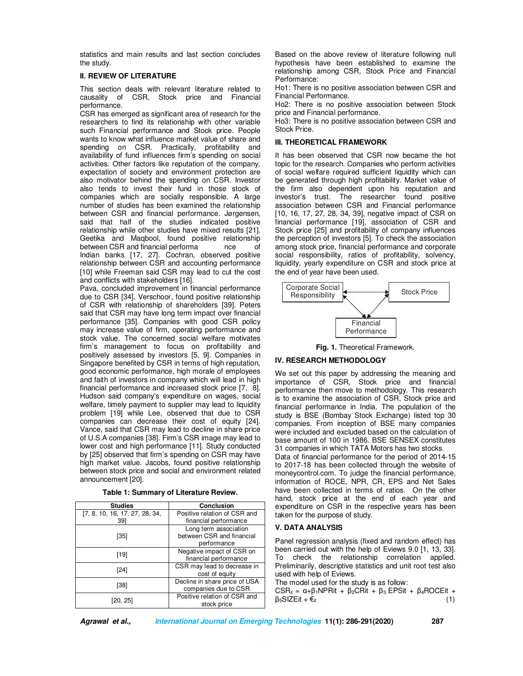statistics and main results and last section concludes the study.

## **II. REVIEW OF LITERATURE**

This section deals with relevant literature related to causality of CSR, Stock price and Financial performance.

CSR has emerged as significant area of research for the researchers to find its relationship with other variable such Financial performance and Stock price. People wants to know what influence market value of share and spending on CSR. Practically, profitability and availability of fund influences firm's spending on social activities. Other factors like reputation of the company, expectation of society and environment protection are also motivator behind the spending on CSR. Investor also tends to invest their fund in those stock of companies which are socially responsible. A large number of studies has been examined the relationship between CSR and financial performance. Jørgensen, said that half of the studies indicated positive relationship while other studies have mixed results [21]. Geetika and Maqbool, found positive relationship between CSR and financial performa nce of Indian banks [17, 27]. Cochran, observed positive relationship between CSR and accounting performance [10] while Freeman said CSR may lead to cut the cost and conflicts with stakeholders [16].

Pava, concluded improvement in financial performance due to CSR [34]. Verschoor, found positive relationship of CSR with relationship of shareholders [39]. Peters said that CSR may have long term impact over financial performance [35]. Companies with good CSR policy may increase value of firm, operating performance and stock value. The concerned social welfare motivates firm's management to focus on profitability and positively assessed by investors [5, 9]. Companies in Singapore benefited by CSR in terms of high reputation, good economic performance, high morale of employees and faith of investors in company which will lead in high financial performance and increased stock price [7, 8]. Hudson said company's expenditure on wages, social welfare, timely payment to supplier may lead to liquidity problem [19] while Lee, observed that due to CSR companies can decrease their cost of equity [24]. Vance, said that CSR may lead to decline in share price of U.S.A companies [38]. Firm's CSR image may lead to lower cost and high performance [11]. Study conducted by [25] observed that firm's spending on CSR may have high market value. Jacobs, found positive relationship between stock price and social and environment related announcement [20].

| Table 1: Summary of Literature Review. |  |  |  |  |
|----------------------------------------|--|--|--|--|
|----------------------------------------|--|--|--|--|

| <b>Studies</b>                 | <b>Conclusion</b>                                     |  |  |  |
|--------------------------------|-------------------------------------------------------|--|--|--|
| [7, 8, 10, 16, 17, 27, 28, 34, | Positive relation of CSR and                          |  |  |  |
| 391                            | financial performance                                 |  |  |  |
| [35]                           | Long term association<br>between CSR and financial    |  |  |  |
|                                | performance                                           |  |  |  |
| [19]                           | Negative impact of CSR on                             |  |  |  |
|                                | financial performance                                 |  |  |  |
| [24]                           | CSR may lead to decrease in                           |  |  |  |
|                                | cost of equity                                        |  |  |  |
| [38]                           | Decline in share price of USA<br>companies due to CSR |  |  |  |
| [20, 25]                       | Positive relation of CSR and<br>stock price           |  |  |  |

Based on the above review of literature following null hypothesis have been established to examine the relationship among CSR, Stock Price and Financial Performance:

Ho1: There is no positive association between CSR and Financial Performance.

Ho2: There is no positive association between Stock price and Financial performance.

Ho3: There is no positive association between CSR and Stock Price.

# **III. THEORETICAL FRAMEWORK**

It has been observed that CSR now became the hot topic for the research. Companies who perform activities of social welfare required sufficient liquidity which can be generated through high profitability. Market value of the firm also dependent upon his reputation and investor's trust. The researcher found positive association between CSR and Financial performance [10, 16, 17, 27, 28, 34, 39], negative impact of CSR on financial performance [19], association of CSR and Stock price [25] and profitability of company influences the perception of investors [5]. To check the association among stock price, financial performance and corporate social responsibility, ratios of profitability, solvency, liquidity, yearly expenditure on CSR and stock price at the end of year have been used.



**Fig. 1.** Theoretical Framework.

# **IV. RESEARCH METHODOLOGY**

We set out this paper by addressing the meaning and importance of CSR, Stock price and financial performance then move to methodology. This research is to examine the association of CSR, Stock price and financial performance in India. The population of the study is BSE (Bombay Stock Exchange) listed top 30 companies. From inception of BSE many companies were included and excluded based on the calculation of base amount of 100 in 1986. BSE SENSEX constitutes 31 companies in which TATA Motors has two stocks. Data of financial performance for the period of 2014-15 to 2017-18 has been collected through the website of

moneycontrol.com. To judge the financial performance, information of ROCE, NPR, CR, EPS and Net Sales have been collected in terms of ratios. On the other hand, stock price at the end of each year and expenditure on CSR in the respective years has been taken for the purpose of study.

# **V. DATA ANALYSIS**

Panel regression analysis (fixed and random effect) has been carried out with the help of Eviews 9.0 [1, 13, 33]. To check the relationship correlation applied. Preliminarily, descriptive statistics and unit root test also used with help of Eviews.

The model used for the study is as follow:

CSR<sub>it</sub> = α+β<sub>1</sub>NPRit + β<sub>2</sub>CRit + β<sub>3</sub> EPSit + β<sub>4</sub>ROCEit + β<sub>5</sub>SIZEit + €<sub>it</sub> (1)  $β<sub>5</sub>SIZEit +  $€<sub>it</sub>$$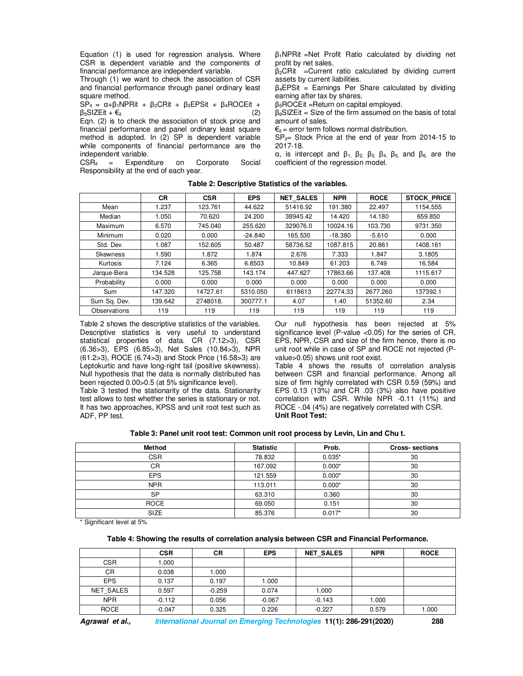Equation (1) is used for regression analysis. Where CSR is dependent variable and the components of financial performance are independent variable.

Through (1) we want to check the association of CSR and financial performance through panel ordinary least square method.

SP<sub>it</sub> =  $\alpha + \beta_1$ NPRit +  $\beta_2$ CRit +  $\beta_3$ EPSit + β<sub>4</sub>ROCEit +  $\beta_5$ SIZEit +  $\epsilon_{it}$  (2)

Eqn. (2) is to check the association of stock price and financial performance and panel ordinary least square method is adopted. In (2) SP is dependent variable while components of financial performance are the independent variable.

 $CSR_{it}$  = Expenditure on Corporate Social Responsibility at the end of each year.

β1NPRit =Net Profit Ratio calculated by dividing net profit by net sales.

 $\beta_2$ CRit =Current ratio calculated by dividing current assets by current liabilities.

 $\beta_4$ EPSit = Earnings Per Share calculated by dividing earning after tax by shares.

 $β<sub>5</sub>ROCE$ it =Return on capital employed.

 $\beta_6$ SIZEit = Size of the firm assumed on the basis of total amount of sales.

 $\epsilon_{it}$  = error term follows normal distribution.

 $SP_{it}$ = Stock Price at the end of year from 2014-15 to 2017-18.

α, is intercept and β1, β2, β3, β4, β5, and β6, are the coefficient of the regression model.

|  | Table 2: Descriptive Statistics of the variables. |
|--|---------------------------------------------------|
|--|---------------------------------------------------|

|              | <b>CR</b> | <b>CSR</b> | <b>EPS</b> | <b>NET SALES</b> | <b>NPR</b> | <b>ROCE</b> | <b>STOCK PRICE</b> |
|--------------|-----------|------------|------------|------------------|------------|-------------|--------------------|
| Mean         | 1.237     | 123.761    | 44.622     | 51416.92         | 191.380    | 22.497      | 1154.555           |
| Median       | 1.050     | 70.620     | 24.200     | 38945.42         | 14.420     | 14.180      | 659.850            |
| Maximum      | 6.570     | 745.040    | 255.620    | 329076.0         | 10024.16   | 103.730     | 9731.350           |
| Minimum      | 0.020     | 0.000      | $-24.840$  | 165.530          | $-18.380$  | $-5.610$    | 0.000              |
| Std. Dev.    | 1.087     | 152.605    | 50.487     | 58736.52         | 1087.815   | 20.861      | 1408.161           |
| Skewness     | 1.590     | 1.872      | 1.874      | 2.676            | 7.333      | 1.847       | 3.1805             |
| Kurtosis     | 7.124     | 6.365      | 6.8503     | 10.849           | 61.203     | 6.749       | 16.584             |
| Jarque-Bera  | 134.528   | 125.758    | 143.174    | 447.627          | 17863.66   | 137.408     | 1115.617           |
| Probability  | 0.000     | 0.000      | 0.000      | 0.000            | 0.000      | 0.000       | 0.000              |
| Sum          | 147.320   | 14727.61   | 5310.050   | 6118613          | 22774.33   | 2677.260    | 137392.1           |
| Sum Sq. Dev. | 139.642   | 2748018.   | 300777.1   | 4.07             | 1.40       | 51352.60    | 2.34               |
| Observations | 119       | 119        | 119        | 119              | 119        | 119         | 119                |

Table 2 shows the descriptive statistics of the variables. Descriptive statistics is very useful to understand statistical properties of data. CR (7.12>3), CSR (6.36>3), EPS (6.85>3), Net Sales (10.84>3), NPR (61.2>3), ROCE (6.74>3) and Stock Price (16.58>3) are Leptokurtic and have long-right tail (positive skewness). Null hypothesis that the data is normally distributed has been rejected 0.00>0.5 (at 5% significance level).

Table 3 tested the stationarity of the data. Stationarity test allows to test whether the series is stationary or not. It has two approaches, KPSS and unit root test such as ADF, PP test.

Our null hypothesis has been rejected at 5% significance level (P-value <0.05) for the series of CR, EPS, NPR, CSR and size of the firm hence, there is no unit root while in case of SP and ROCE not rejected (Pvalue>0.05) shows unit root exist.

Table 4 shows the results of correlation analysis between CSR and financial performance. Among all size of firm highly correlated with CSR 0.59 (59%) and EPS 0.13 (13%) and CR .03 (3%) also have positive correlation with CSR. While NPR -0.11 (11%) and ROCE -.04 (4%) are negatively correlated with CSR. **Unit Root Test:**

**Table 3: Panel unit root test: Common unit root process by Levin, Lin and Chu t.** 

| Method      | <b>Statistic</b> | Prob.    | <b>Cross-sections</b> |
|-------------|------------------|----------|-----------------------|
| <b>CSR</b>  | 78.832           | $0.035*$ | 30                    |
| CR          | 167.092          | $0.000*$ | 30                    |
| <b>EPS</b>  | 121.559          | $0.000*$ | 30                    |
| <b>NPR</b>  | 113.011          | $0.000*$ | 30                    |
| <b>SP</b>   | 63.310           | 0.360    | 30                    |
| <b>ROCE</b> | 69.050           | 0.151    | 30                    |
| <b>SIZE</b> | 85.376           | $0.017*$ | 30                    |

\* Significant level at 5%

# **Table 4: Showing the results of correlation analysis between CSR and Financial Performance.**

|             | <b>CSR</b> | CR       | <b>EPS</b> | <b>NET SALES</b> | <b>NPR</b> | <b>ROCE</b> |
|-------------|------------|----------|------------|------------------|------------|-------------|
| <b>CSR</b>  | .000       |          |            |                  |            |             |
| <b>CR</b>   | 0.038      | .000     |            |                  |            |             |
| <b>EPS</b>  | 0.137      | 0.197    | 1.000      |                  |            |             |
| NET SALES   | 0.597      | $-0.259$ | 0.074      | 1.000            |            |             |
| <b>NPR</b>  | $-0.112$   | 0.056    | $-0.067$   | $-0.143$         | 1.000      |             |
| <b>ROCE</b> | $-0.047$   | 0.325    | 0.226      | $-0.227$         | 0.579      | 1.000       |

**Agrawal et al., International Journal on Emerging Technologies 11(1): 286-291(2020) 288**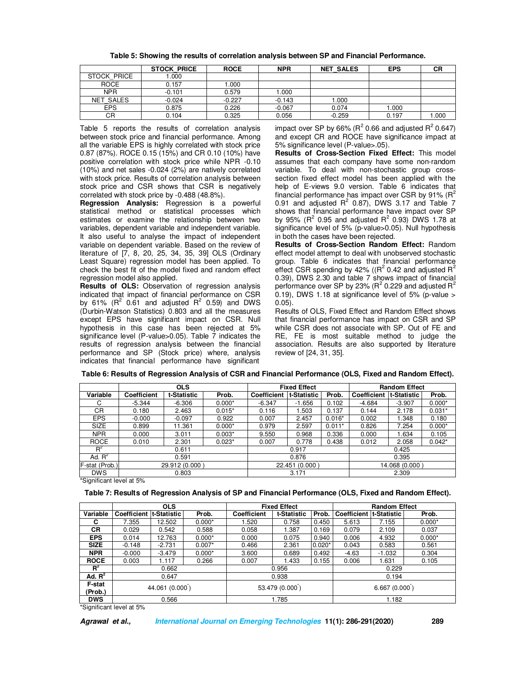|             | <b>STOCK PRICE</b> | <b>ROCE</b> | <b>NPR</b> | <b>NET SALES</b> | <b>EPS</b> | CR   |
|-------------|--------------------|-------------|------------|------------------|------------|------|
| STOCK PRICE | .000               |             |            |                  |            |      |
| <b>ROCE</b> | 0.157              | 000. ا      |            |                  |            |      |
| <b>NPR</b>  | $-0.101$           | 0.579       | 1.000      |                  |            |      |
| NET SALES   | $-0.024$           | $-0.227$    | $-0.143$   | 1.000            |            |      |
| <b>EPS</b>  | 0.875              | 0.226       | $-0.067$   | 0.074            | 1.000      |      |
| CR          | 0.104              | 0.325       | 0.056      | $-0.259$         | 0.197      | .000 |

**Table 5: Showing the results of correlation analysis between SP and Financial Performance.** 

Table 5 reports the results of correlation analysis between stock price and financial performance. Among all the variable EPS is highly correlated with stock price 0.87 (87%). ROCE 0.15 (15%) and CR 0.10 (10%) have positive correlation with stock price while NPR -0.10 (10%) and net sales -0.024 (2%) are natively correlated with stock price. Results of correlation analysis between stock price and CSR shows that CSR is negatively correlated with stock price by -0.488 (48.8%).

**Regression Analysis:** Regression is a powerful statistical method or statistical processes which estimates or examine the relationship between two variables, dependent variable and independent variable. It also useful to analyse the impact of independent variable on dependent variable. Based on the review of literature of [7, 8, 20, 25, 34, 35, 39] OLS (Ordinary Least Square) regression model has been applied. To check the best fit of the model fixed and random effect regression model also applied.

**Results of OLS:** Observation of regression analysis indicated that impact of financial performance on CSR by 61% ( $R^2$  0.61 and adjusted  $R^2$  0.59) and DWS (Durbin-Watson Statistics) 0.803 and all the measures except EPS have significant impact on CSR. Null hypothesis in this case has been rejected at 5% significance level (P-value>0.05). Table 7 indicates the results of regression analysis between the financial performance and SP (Stock price) where, analysis indicates that financial performance have significant

impact over SP by 66% ( $R^2$  0.66 and adjusted  $R^2$  0.647) and except CR and ROCE have significance impact at 5% significance level (P-value>.05).

**Results of Cross-Section Fixed Effect:** This model assumes that each company have some non-random variable. To deal with non-stochastic group crosssection fixed effect model has been applied with the help of E-views 9.0 version. Table 6 indicates that financial performance has impact over CSR by 91%  $(R^2)$ 0.91 and adjusted  $R^2$  0.87), DWS 3.17 and Table 7 shows that financial performance have impact over SP by 95% ( $R^2$  0.95 and adjusted  $R^2$  0.93) DWS 1.78 at significance level of 5% (p-value>0.05). Null hypothesis in both the cases have been rejected.

**Results of Cross-Section Random Effect:** Random effect model attempt to deal with unobserved stochastic group. Table 6 indicates that financial performance effect CSR spending by 42% (( $R^2$  0.42 and adjusted  $R^2$ 0.39), DWS 2.30 and table 7 shows impact of financial performance over SP by 23% (R<sup>2</sup> 0.229 and adjusted R<sup>2</sup> 0.19), DWS 1.18 at significance level of 5% (p-value > 0.05).

Results of OLS, Fixed Effect and Random Effect shows that financial performance has impact on CSR and SP while CSR does not associate with SP. Out of FE and RE, FE is most suitable method to judge the association. Results are also supported by literature review of [24, 31, 35].

|                | <b>OLS</b>     |             |          | <b>Fixed Effect</b> |             |          | <b>Random Effect</b> |             |          |
|----------------|----------------|-------------|----------|---------------------|-------------|----------|----------------------|-------------|----------|
| Variable       | Coefficient    | t-Statistic | Prob.    | Coefficient         | t-Statistic | Prob.    | Coefficient          | t-Statistic | Prob.    |
| C              | $-5.344$       | $-6.306$    | $0.000*$ | $-6.347$            | $-1.656$    | 0.102    | $-4.684$             | $-3.907$    | $0.000*$ |
| <b>CR</b>      | 0.180          | 2.463       | $0.015*$ | 0.116               | 1.503       | 0.137    | 0.144                | 2.178       | $0.031*$ |
| <b>EPS</b>     | $-0.000$       | $-0.097$    | 0.922    | 0.007               | 2.457       | $0.016*$ | 0.002                | 1.348       | 0.180    |
| <b>SIZE</b>    | 0.899          | 11.361      | $0.000*$ | 0.979               | 2.597       | $0.011*$ | 0.826                | 7.254       | $0.000*$ |
| <b>NPR</b>     | 0.000          | 3.011       | $0.003*$ | 9.550               | 0.968       | 0.336    | 0.000                | 1.634       | 0.105    |
| <b>ROCE</b>    | 0.010          | 2.301       | $0.023*$ | 0.007               | 0.778       | 0.438    | 0.012                | 2.058       | $0.042*$ |
| $R^2$          | 0.611          |             |          | 0.917               |             |          | 0.425                |             |          |
| Ad. $R^2$      | 0.591          |             |          | 0.876               |             |          | 0.395                |             |          |
| F-stat (Prob.) | 29.912 (0.000) |             |          | 22.451 (0.000)      |             |          | 14.068 (0.000)       |             |          |
| <b>DWS</b>     |                | 0.803       |          |                     | 3.171       |          |                      | 2.309       |          |

**Table 6: Results of Regression Analysis of CSR and Financial Performance (OLS, Fixed and Random Effect).**

\*Significant level at 5%

**Table 7: Results of Regression Analysis of SP and Financial Performance (OLS, Fixed and Random Effect).** 

|             | <b>OLS</b>               |          |                |                    | <b>Fixed Effect</b> |              |                          | <b>Random Effect</b> |          |  |  |
|-------------|--------------------------|----------|----------------|--------------------|---------------------|--------------|--------------------------|----------------------|----------|--|--|
| Variable    | Coefficient It-Statistic |          | Prob.          | <b>Coefficient</b> | t-Statistic         | Prob.        | Coefficient It-Statistic |                      | Prob.    |  |  |
| C           | 7.355                    | 12.502   | $0.000*$       | 1.520              | 0.758               | 0.450        | 5.613                    | 7.155                | $0.000*$ |  |  |
| СR          | 0.029                    | 0.542    | 0.588          | 0.058              | 1.387               | 0.169        | 0.079                    | 2.109                | 0.037    |  |  |
| <b>EPS</b>  | 0.014                    | 12.763   | $0.000*$       | 0.000              | 0.075               | 0.940        | 0.006                    | 4.932                | $0.000*$ |  |  |
| <b>SIZE</b> | $-0.148$                 | $-2.731$ | $0.007*$       | 0.466              | 2.361               | $0.020*$     | 0.043                    | 0.583                | 0.561    |  |  |
| <b>NPR</b>  | $-0.000$                 | $-3.479$ | $0.000*$       | 3.600              | 0.689               | 0.492        | $-4.63$                  | $-1.032$             | 0.304    |  |  |
| <b>ROCE</b> | 0.003                    | 1.117    | 0.266          | 0.007              | 1.433               | 0.155        | 0.006                    | 1.631                | 0.105    |  |  |
| $R^2$       |                          | 0.662    |                | 0.956              |                     |              | 0.229                    |                      |          |  |  |
| Ad. $R^2$   | 0.647                    |          | 0.938          |                    |                     | 0.194        |                          |                      |          |  |  |
| F-stat      | 44.061 (0.000)           |          |                |                    |                     | 6.667(0.000) |                          |                      |          |  |  |
| (Prob.)     |                          |          | 53.479 (0.000) |                    |                     |              |                          |                      |          |  |  |
| <b>DWS</b>  |                          | 0.566    |                |                    | 1.785               |              |                          | 1.182                |          |  |  |

\*Significant level at 5%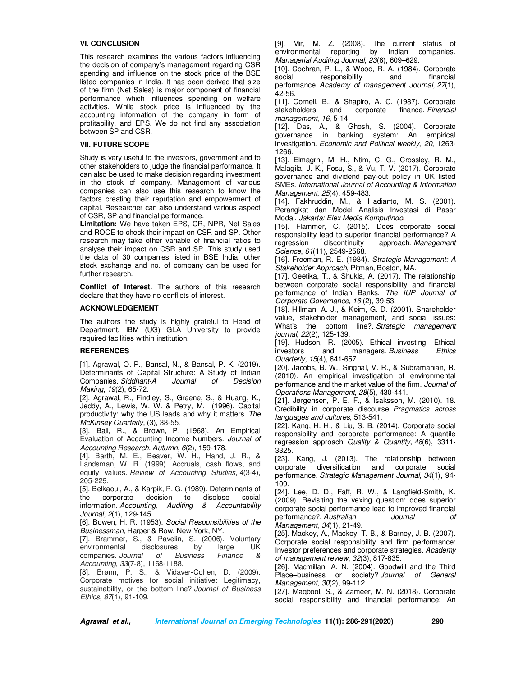## **VI. CONCLUSION**

This research examines the various factors influencing the decision of company's management regarding CSR spending and influence on the stock price of the BSE listed companies in India. It has been derived that size of the firm (Net Sales) is major component of financial performance which influences spending on welfare activities. While stock price is influenced by the accounting information of the company in form of profitability, and EPS. We do not find any association between SP and CSR.

#### **VII. FUTURE SCOPE**

Study is very useful to the investors, government and to other stakeholders to judge the financial performance. It can also be used to make decision regarding investment in the stock of company. Management of various companies can also use this research to know the factors creating their reputation and empowerment of capital. Researcher can also understand various aspect of CSR, SP and financial performance.

**Limitation:** We have taken EPS, CR, NPR, Net Sales and ROCE to check their impact on CSR and SP. Other research may take other variable of financial ratios to analyse their impact on CSR and SP. This study used the data of 30 companies listed in BSE India, other stock exchange and no. of company can be used for further research.

**Conflict of Interest.** The authors of this research declare that they have no conflicts of interest.

#### **ACKNOWLEDGEMENT**

The authors the study is highly grateful to Head of Department, IBM (UG) GLA University to provide required facilities within institution.

## **REFERENCES**

[1]. Agrawal, O. P., Bansal, N., & Bansal, P. K. (2019). Determinants of Capital Structure: A Study of Indian Companies. *Siddhant-A Journal of Decision Making*, *19*(2), 65-72.

[2]. Agrawal, R., Findley, S., Greene, S., & Huang, K., Jeddy, A., Lewis, W. W. & Petry, M. (1996). Capital productivity: why the US leads and why it matters. *The McKinsey Quarterly*, (3), 38-55.

[3]. Ball, R., & Brown, P. (1968). An Empirical Evaluation of Accounting Income Numbers. *Journal of Accounting Research*. *Autumn*, *6*(2), 159-178.

[4]. Barth, M. E., Beaver, W. H., Hand, J. R., & Landsman, W. R. (1999). Accruals, cash flows, and equity values. *Review of Accounting Studies*, *4*(3-4), 205-229.

[5]. Belkaoui, A., & Karpik, P. G. (1989). Determinants of the corporate decision to disclose social<br>information. Accounting, Auditing & Accountability Auditing & Accountability *Journal*, *2*(1), 129-145.

[6]. Bowen, H. R. (1953). *Social Responsibilities of the Businessman,* Harper & Row, New York, NY.

[7]. Brammer, S., & Pavelin, S. (2006). Voluntary environmental disclosures by large UK<br>companies Journal of Business Finance & companies. *Journal of Business Finance & Accounting*, *33*(7‐8), 1168-1188.

[8]. Brønn, P. S., & Vidaver-Cohen, D. (2009). Corporate motives for social initiative: Legitimacy, sustainability, or the bottom line? *Journal of Business Ethics*, *87*(1), 91-109.

[9]. Mir, M. Z. (2008). The current status of environmental reporting by Indian companies. *Managerial Auditing Journal*, *23*(6), 609–629.

[10]. Cochran, P. L., & Wood, R. A. (1984). Corporate social responsibility and financial performance. *Academy of management Journal*, *27*(1), 42-56.

[11]. Cornell, B., & Shapiro, A. C. (1987). Corporate stakeholders and corporate finance. *Financial management*, *16*, 5-14.

[12]. Das, A., & Ghosh, S. (2004). Corporate governance in banking system: An empirical investigation. *Economic and Political weekly*, *20*, 1263- 1266.

[13]. Elmagrhi, M. H., Ntim, C. G., Crossley, R. M., Malagila, J. K., Fosu, S., & Vu, T. V. (2017). Corporate governance and dividend pay-out policy in UK listed SMEs. *International Journal of Accounting & Information Management*, *25*(4), 459-483.

[14]. Fakhruddin, M., & Hadianto, M. S. (2001). Perangkat dan Model Analisis Investasi di Pasar Modal. *Jakarta: Elex Media Komputindo*.

[15]. Flammer, C. (2015). Does corporate social responsibility lead to superior financial performance? A regression discontinuity approach. Management regression discontinuity approach. *Management Science*, *61*(11), 2549-2568.

[16]. Freeman, R. E. (1984). *Strategic Management: A Stakeholder Approach*, Pitman, Boston, MA.

[17]. Geetika, T., & Shukla, A. (2017). The relationship between corporate social responsibility and financial performance of Indian Banks. *The IUP Journal of Corporate Governance, 16* (2), 39-53.

[18]. Hillman, A. J., & Keim, G. D. (2001). Shareholder value, stakeholder management, and social issues: What's the bottom line?. *Strategic management journal*, *22*(2), 125-139.

[19]. Hudson, R. (2005). Ethical investing: Ethical investors and managers. *Business Ethics Quarterly*, *15*(4), 641-657.

[20]. Jacobs, B. W., Singhal, V. R., & Subramanian, R. (2010). An empirical investigation of environmental performance and the market value of the firm. *Journal of Operations Management*, *28*(5), 430-441.

[21]. Jørgensen, P. E. F., & Isaksson, M. (2010). 18. Credibility in corporate discourse. *Pragmatics across languages and cultures*, 513-541.

[22]. Kang, H. H., & Liu, S. B. (2014). Corporate social responsibility and corporate performance: A quantile regression approach. *Quality & Quantity*, *48*(6), 3311- 3325.

[23]. Kang, J. (2013). The relationship between corporate diversification and corporate social performance. *Strategic Management Journal*, *34*(1), 94- 109.

[24]. Lee, D. D., Faff, R. W., & Langfield-Smith, K. (2009). Revisiting the vexing question: does superior corporate social performance lead to improved financial performance?. *Australian Journal of Management*, *34*(1), 21-49.

[25]. Mackey, A., Mackey, T. B., & Barney, J. B. (2007). Corporate social responsibility and firm performance: Investor preferences and corporate strategies. *Academy of management review*, *32*(3), 817-835.

[26]. Macmillan, A. N. (2004). Goodwill and the Third Place–business or society? *Journal of General Management*, *30*(2), 99-112.

[27]. Maqbool, S., & Zameer, M. N. (2018). Corporate social responsibility and financial performance: An